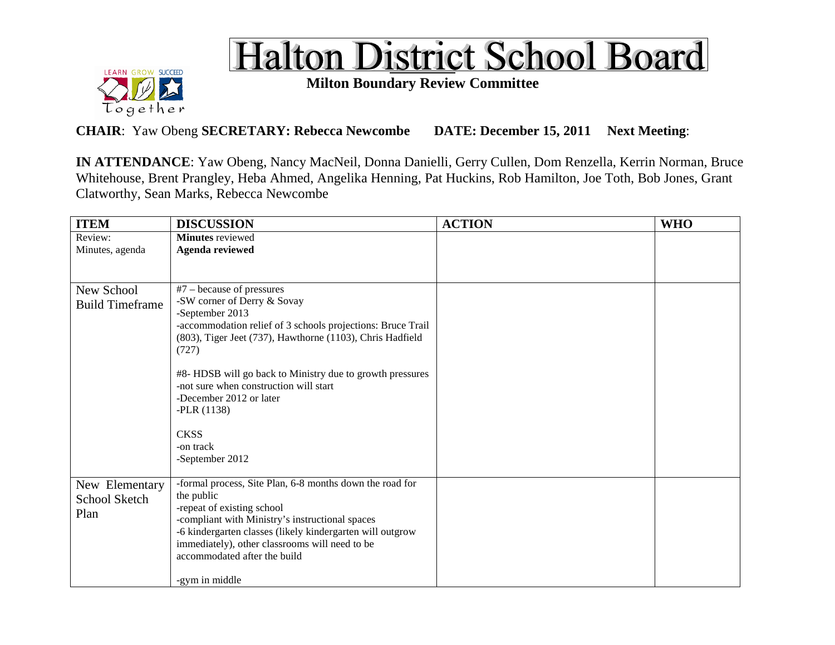



**Milton Boundary Review Committee**

**CHAIR**: Yaw Obeng **SECRETARY: Rebecca Newcombe DATE: December 15, 2011 Next Meeting**:

**IN ATTENDANCE**: Yaw Obeng, Nancy MacNeil, Donna Danielli, Gerry Cullen, Dom Renzella, Kerrin Norman, Bruce Whitehouse, Brent Prangley, Heba Ahmed, Angelika Henning, Pat Huckins, Rob Hamilton, Joe Toth, Bob Jones, Grant Clatworthy, Sean Marks, Rebecca Newcombe

| <b>ITEM</b>            | <b>DISCUSSION</b>                                                              | <b>ACTION</b> | <b>WHO</b> |
|------------------------|--------------------------------------------------------------------------------|---------------|------------|
| Review:                | <b>Minutes</b> reviewed                                                        |               |            |
| Minutes, agenda        | <b>Agenda reviewed</b>                                                         |               |            |
|                        |                                                                                |               |            |
|                        |                                                                                |               |            |
| New School             | $#7$ – because of pressures                                                    |               |            |
| <b>Build Timeframe</b> | -SW corner of Derry & Sovay                                                    |               |            |
|                        | -September 2013<br>-accommodation relief of 3 schools projections: Bruce Trail |               |            |
|                        | (803), Tiger Jeet (737), Hawthorne (1103), Chris Hadfield                      |               |            |
|                        | (727)                                                                          |               |            |
|                        |                                                                                |               |            |
|                        | #8- HDSB will go back to Ministry due to growth pressures                      |               |            |
|                        | -not sure when construction will start                                         |               |            |
|                        | -December 2012 or later                                                        |               |            |
|                        | $-PLR(1138)$                                                                   |               |            |
|                        |                                                                                |               |            |
|                        | <b>CKSS</b><br>-on track                                                       |               |            |
|                        | -September 2012                                                                |               |            |
|                        |                                                                                |               |            |
| New Elementary         | -formal process, Site Plan, 6-8 months down the road for                       |               |            |
| School Sketch          | the public                                                                     |               |            |
| Plan                   | -repeat of existing school                                                     |               |            |
|                        | -compliant with Ministry's instructional spaces                                |               |            |
|                        | -6 kindergarten classes (likely kindergarten will outgrow                      |               |            |
|                        | immediately), other classrooms will need to be                                 |               |            |
|                        | accommodated after the build                                                   |               |            |
|                        | -gym in middle                                                                 |               |            |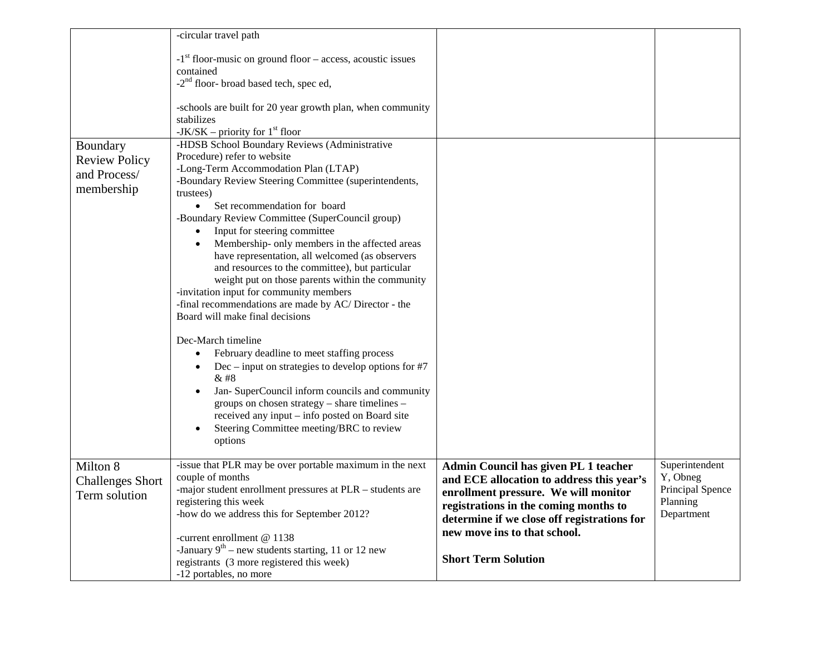| Boundary<br><b>Review Policy</b><br>and Process/<br>membership | -circular travel path<br>$-1$ <sup>st</sup> floor-music on ground floor – access, acoustic issues<br>contained<br>-2 <sup>nd</sup> floor- broad based tech, spec ed,<br>-schools are built for 20 year growth plan, when community<br>stabilizes<br>-JK/SK – priority for $1st$ floor<br>-HDSB School Boundary Reviews (Administrative<br>Procedure) refer to website<br>-Long-Term Accommodation Plan (LTAP)<br>-Boundary Review Steering Committee (superintendents,<br>trustees)<br>Set recommendation for board<br>$\bullet$<br>-Boundary Review Committee (SuperCouncil group)<br>Input for steering committee<br>$\bullet$<br>Membership- only members in the affected areas<br>have representation, all welcomed (as observers<br>and resources to the committee), but particular<br>weight put on those parents within the community<br>-invitation input for community members<br>-final recommendations are made by AC/Director - the<br>Board will make final decisions<br>Dec-March timeline<br>February deadline to meet staffing process<br>Dec – input on strategies to develop options for $#7$<br>& #8<br>Jan- SuperCouncil inform councils and community<br>groups on chosen strategy - share timelines -<br>received any input - info posted on Board site<br>Steering Committee meeting/BRC to review |                                                                                                                                                                                                                                                                                 |                                                        |
|----------------------------------------------------------------|---------------------------------------------------------------------------------------------------------------------------------------------------------------------------------------------------------------------------------------------------------------------------------------------------------------------------------------------------------------------------------------------------------------------------------------------------------------------------------------------------------------------------------------------------------------------------------------------------------------------------------------------------------------------------------------------------------------------------------------------------------------------------------------------------------------------------------------------------------------------------------------------------------------------------------------------------------------------------------------------------------------------------------------------------------------------------------------------------------------------------------------------------------------------------------------------------------------------------------------------------------------------------------------------------------------------------|---------------------------------------------------------------------------------------------------------------------------------------------------------------------------------------------------------------------------------------------------------------------------------|--------------------------------------------------------|
| Milton 8                                                       | options<br>-issue that PLR may be over portable maximum in the next                                                                                                                                                                                                                                                                                                                                                                                                                                                                                                                                                                                                                                                                                                                                                                                                                                                                                                                                                                                                                                                                                                                                                                                                                                                       |                                                                                                                                                                                                                                                                                 | Superintendent                                         |
| <b>Challenges Short</b><br>Term solution                       | couple of months<br>-major student enrollment pressures at PLR - students are<br>registering this week<br>-how do we address this for September 2012?<br>-current enrollment @ 1138<br>-January $9^{th}$ – new students starting, 11 or 12 new<br>registrants (3 more registered this week)<br>-12 portables, no more                                                                                                                                                                                                                                                                                                                                                                                                                                                                                                                                                                                                                                                                                                                                                                                                                                                                                                                                                                                                     | Admin Council has given PL 1 teacher<br>and ECE allocation to address this year's<br>enrollment pressure. We will monitor<br>registrations in the coming months to<br>determine if we close off registrations for<br>new move ins to that school.<br><b>Short Term Solution</b> | Y, Obneg<br>Principal Spence<br>Planning<br>Department |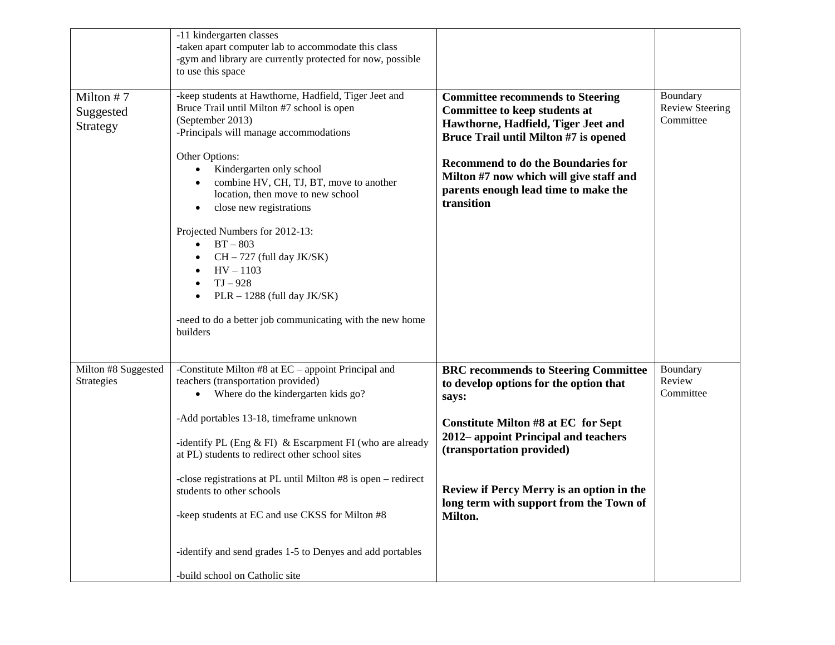|                                    | -11 kindergarten classes<br>-taken apart computer lab to accommodate this class<br>-gym and library are currently protected for now, possible<br>to use this space                                                                                                                                                                                                                                                                                                                                                                                    |                                                                                                                                                                                                                                                                                                               |                                                 |
|------------------------------------|-------------------------------------------------------------------------------------------------------------------------------------------------------------------------------------------------------------------------------------------------------------------------------------------------------------------------------------------------------------------------------------------------------------------------------------------------------------------------------------------------------------------------------------------------------|---------------------------------------------------------------------------------------------------------------------------------------------------------------------------------------------------------------------------------------------------------------------------------------------------------------|-------------------------------------------------|
| Milton #7<br>Suggested<br>Strategy | -keep students at Hawthorne, Hadfield, Tiger Jeet and<br>Bruce Trail until Milton #7 school is open<br>(September 2013)<br>-Principals will manage accommodations<br>Other Options:<br>Kindergarten only school<br>combine HV, CH, TJ, BT, move to another<br>location, then move to new school<br>close new registrations<br>Projected Numbers for 2012-13:<br>$BT - 803$<br>CH - 727 (full day JK/SK)<br>$HV - 1103$<br>$TJ - 928$<br>$PLR - 1288$ (full day JK/SK)<br>-need to do a better job communicating with the new home<br>builders         | <b>Committee recommends to Steering</b><br><b>Committee to keep students at</b><br>Hawthorne, Hadfield, Tiger Jeet and<br>Bruce Trail until Milton #7 is opened<br>Recommend to do the Boundaries for<br>Milton #7 now which will give staff and<br>parents enough lead time to make the<br>transition        | Boundary<br><b>Review Steering</b><br>Committee |
| Milton #8 Suggested<br>Strategies  | -Constitute Milton $#8$ at $EC$ – appoint Principal and<br>teachers (transportation provided)<br>Where do the kindergarten kids go?<br>٠<br>-Add portables 13-18, timeframe unknown<br>-identify PL (Eng $&$ FI) $&$ Escarpment FI (who are already<br>at PL) students to redirect other school sites<br>-close registrations at PL until Milton #8 is open – redirect<br>students to other schools<br>-keep students at EC and use CKSS for Milton #8<br>-identify and send grades 1-5 to Denyes and add portables<br>-build school on Catholic site | <b>BRC</b> recommends to Steering Committee<br>to develop options for the option that<br>says:<br>Constitute Milton #8 at EC for Sept<br>2012– appoint Principal and teachers<br>(transportation provided)<br>Review if Percy Merry is an option in the<br>long term with support from the Town of<br>Milton. | Boundary<br>Review<br>Committee                 |